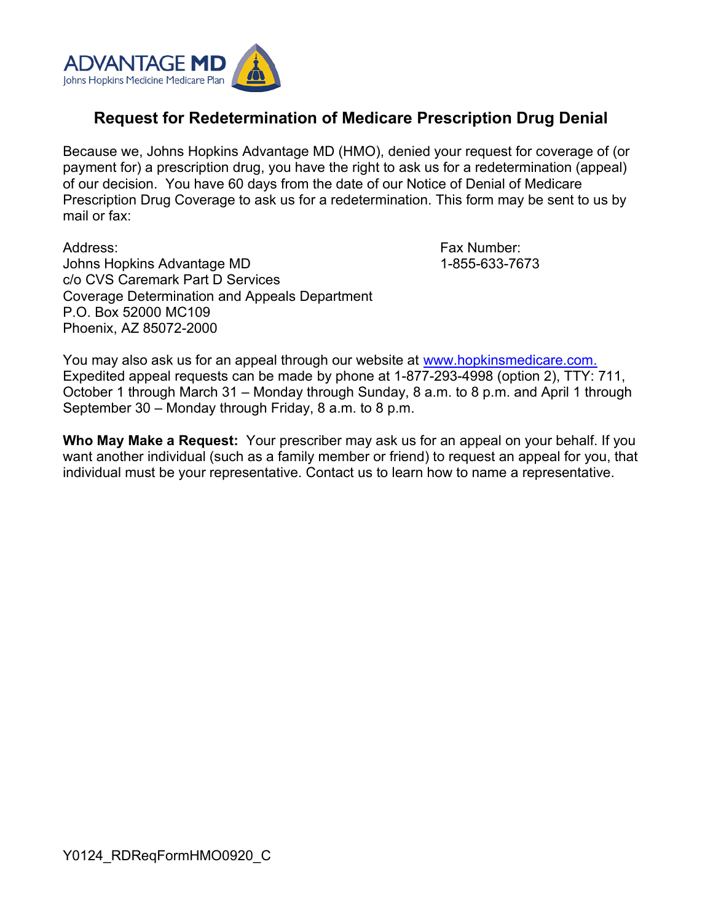

## **Request for Redetermination of Medicare Prescription Drug Denial**

Because we, Johns Hopkins Advantage MD (HMO), denied your request for coverage of (or payment for) a prescription drug, you have the right to ask us for a redetermination (appeal) of our decision. You have 60 days from the date of our Notice of Denial of Medicare Prescription Drug Coverage to ask us for a redetermination. This form may be sent to us by mail or fax:

Address: Johns Hopkins Advantage MD c/o CVS Caremark Part D Services Coverage Determination and Appeals Department P.O. Box 52000 MC109 Phoenix, AZ 85072-2000

Fax Number: 1-855-633-7673

You may also ask us for an appeal through our website at [www.hopkinsmedicare.com.](http://www.hopkinsmedicare.com) Expedited appeal requests can be made by phone at 1-877-293-4998 (option 2), TTY: 711, October 1 through March 31 – Monday through Sunday, 8 a.m. to 8 p.m. and April 1 through September 30 – Monday through Friday, 8 a.m. to 8 p.m.

**Who May Make a Request:** Your prescriber may ask us for an appeal on your behalf. If you want another individual (such as a family member or friend) to request an appeal for you, that individual must be your representative. Contact us to learn how to name a representative.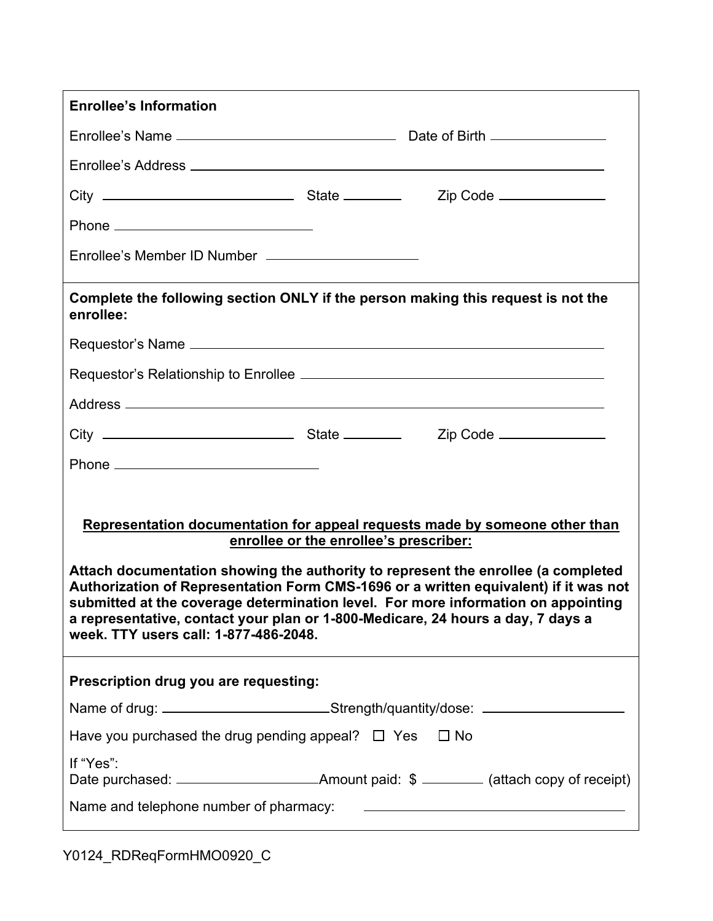| <b>Enrollee's Information</b>                                                                                                                                                                                                                                                                                                                                                                                                                                                                                       |  |  |  |  |
|---------------------------------------------------------------------------------------------------------------------------------------------------------------------------------------------------------------------------------------------------------------------------------------------------------------------------------------------------------------------------------------------------------------------------------------------------------------------------------------------------------------------|--|--|--|--|
|                                                                                                                                                                                                                                                                                                                                                                                                                                                                                                                     |  |  |  |  |
|                                                                                                                                                                                                                                                                                                                                                                                                                                                                                                                     |  |  |  |  |
|                                                                                                                                                                                                                                                                                                                                                                                                                                                                                                                     |  |  |  |  |
|                                                                                                                                                                                                                                                                                                                                                                                                                                                                                                                     |  |  |  |  |
| Enrollee's Member ID Number ________________________                                                                                                                                                                                                                                                                                                                                                                                                                                                                |  |  |  |  |
| Complete the following section ONLY if the person making this request is not the<br>enrollee:                                                                                                                                                                                                                                                                                                                                                                                                                       |  |  |  |  |
|                                                                                                                                                                                                                                                                                                                                                                                                                                                                                                                     |  |  |  |  |
|                                                                                                                                                                                                                                                                                                                                                                                                                                                                                                                     |  |  |  |  |
|                                                                                                                                                                                                                                                                                                                                                                                                                                                                                                                     |  |  |  |  |
|                                                                                                                                                                                                                                                                                                                                                                                                                                                                                                                     |  |  |  |  |
|                                                                                                                                                                                                                                                                                                                                                                                                                                                                                                                     |  |  |  |  |
| Representation documentation for appeal requests made by someone other than<br>enrollee or the enrollee's prescriber:<br>Attach documentation showing the authority to represent the enrollee (a completed<br>Authorization of Representation Form CMS-1696 or a written equivalent) if it was not<br>submitted at the coverage determination level. For more information on appointing<br>a representative, contact your plan or 1-800-Medicare, 24 hours a day, 7 days a<br>week. TTY users call: 1-877-486-2048. |  |  |  |  |
| Prescription drug you are requesting:                                                                                                                                                                                                                                                                                                                                                                                                                                                                               |  |  |  |  |
| Name of drug: ______________________________Strength/quantity/dose: _____________                                                                                                                                                                                                                                                                                                                                                                                                                                   |  |  |  |  |
| Have you purchased the drug pending appeal? $\Box$ Yes $\Box$ No                                                                                                                                                                                                                                                                                                                                                                                                                                                    |  |  |  |  |
| If "Yes":                                                                                                                                                                                                                                                                                                                                                                                                                                                                                                           |  |  |  |  |
|                                                                                                                                                                                                                                                                                                                                                                                                                                                                                                                     |  |  |  |  |